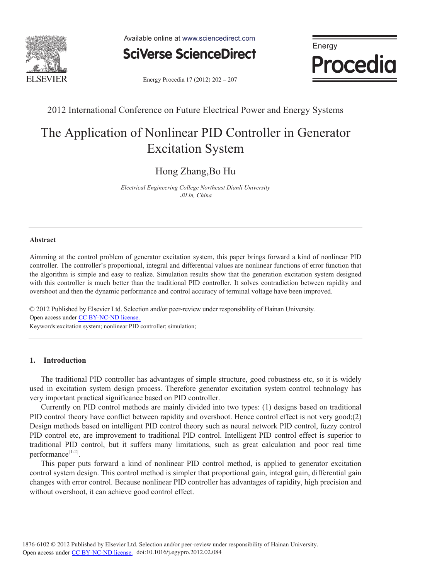

Available online at www.sciencedirect.com



Energy Procedia

Energy Procedia 17 (2012) 202 - 207

### 2012 International Conference on Future Electrical Power and Energy Systems

# The Application of Nonlinear PID Controller in Generator Excitation System

### Hong Zhang,Bo Hu

*Electrical Engineering College Northeast Dianli University JiLin, China* 

#### **Abstract**

Aimming at the control problem of generator excitation system, this paper brings forward a kind of nonlinear PID controller. The controller's proportional, integral and differential values are nonlinear functions of error function that the algorithm is simple and easy to realize. Simulation results show that the generation excitation system designed with this controller is much better than the traditional PID controller. It solves contradiction between rapidity and overshoot and then the dynamic performance and control accuracy of terminal voltage have been improved.

© 2012 Published by Elsevier Ltd. Selection and/or peer-review under responsibility of Hainan University. Keywords:excitation system; nonlinear PID controller; simulation; Open access under [CC BY-NC-ND license.](http://creativecommons.org/licenses/by-nc-nd/3.0/)

#### **1. Introduction**

The traditional PID controller has advantages of simple structure, good robustness etc, so it is widely used in excitation system design process. Therefore generator excitation system control technology has very important practical significance based on PID controller.

Currently on PID control methods are mainly divided into two types: (1) designs based on traditional PID control theory have conflict between rapidity and overshoot. Hence control effect is not very good;(2) Design methods based on intelligent PID control theory such as neural network PID control, fuzzy control PID control etc, are improvement to traditional PID control. Intelligent PID control effect is superior to traditional PID control, but it suffers many limitations, such as great calculation and poor real time performance<sup>[1-2]</sup>.

This paper puts forward a kind of nonlinear PID control method, is applied to generator excitation control system design. This control method is simpler that proportional gain, integral gain, differential gain changes with error control. Because nonlinear PID controller has advantages of rapidity, high precision and without overshoot, it can achieve good control effect.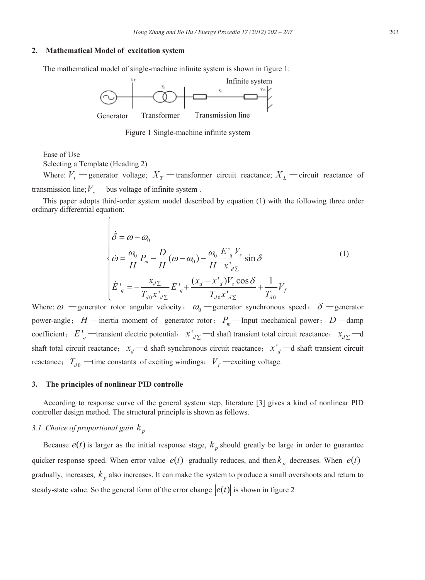#### **2. Mathematical Model of excitation system**

The mathematical model of single-machine infinite system is shown in figure 1:



Figure 1 Single-machine infinite system

Ease of Use

Selecting a Template (Heading 2)

 $\epsilon$ 

Where:  $V_t$  — generator voltage;  $X_T$  — transformer circuit reactance;  $X_L$  — circuit reactance of transmission line;  $V_s$  —bus voltage of infinite system .

This paper adopts third-order system model described by equation (1) with the following three order ordinary differential equation:

$$
\begin{cases}\n\dot{\delta} = \omega - \omega_0 \\
\dot{\omega} = \frac{\omega_0}{H} P_m - \frac{D}{H} (\omega - \omega_0) - \frac{\omega_0}{H} \frac{E'_{q} V_s}{x'_{d\Sigma}} \sin \delta \\
\dot{E'}_{q} = -\frac{x_{d\Sigma}}{T_{a0} x'_{d\Sigma}} E'_{q} + \frac{(x_d - x'_{d}) V_s \cos \delta}{T_{a0} x'_{d\Sigma}} + \frac{1}{T_{a0}} V_f\n\end{cases}
$$
\n(1)

Where:  $\omega$  —generator rotor angular velocity;  $\omega_0$  —generator synchronous speed;  $\delta$  —generator power-angle; *H* —inertia moment of generator rotor;  $P_m$  —Input mechanical power; *D* —damp coefficient;  $E'_{q}$  —transient electric potential;  $x'_{d\Sigma}$  —d shaft transient total circuit reactance;  $x_{d\Sigma}$  —d shaft total circuit reactance;  $x_d$  —d shaft synchronous circuit reactance;  $x_d$  —d shaft transient circuit reactance;  $T_{d0}$  —time constants of exciting windings;  $V_f$  —exciting voltage.

#### **3. The principles of nonlinear PID controlle**

According to response curve of the general system step, literature [3] gives a kind of nonlinear PID controller design method. The structural principle is shown as follows.

#### *3.1 .Choice of proportional gain*  $k<sub>n</sub>$

Because  $e(t)$  is larger as the initial response stage,  $k<sub>n</sub>$  should greatly be large in order to guarantee quicker response speed. When error value  $|e(t)|$  gradually reduces, and then  $k_p$  decreases. When  $|e(t)|$ gradually, increases,  $k<sub>p</sub>$  also increases. It can make the system to produce a small overshoots and return to steady-state value. So the general form of the error change  $|e(t)|$  is shown in figure 2